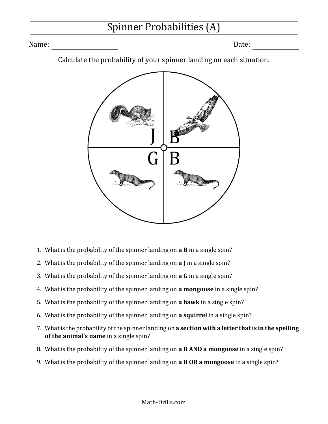## Spinner Probabilities (A)

Name: Date:

Calculate the probability of your spinner landing on each situation.



- 1. What is the probability of the spinner landing on **a B** in a single spin?
- 2. What is the probability of the spinner landing on **a J** in a single spin?
- 3. What is the probability of the spinner landing on **a G** in a single spin?
- 4. What is the probability of the spinner landing on **a mongoose** in a single spin?
- 5. What is the probability of the spinner landing on **a hawk** in a single spin?
- 6. What is the probability of the spinner landing on **a squirrel** in a single spin?
- 7. What is the probability of the spinner landing on **a section with a letter that is in the spelling of the animal's name** in a single spin?
- 8. What is the probability of the spinner landing on **a B AND a mongoose** in a single spin?
- 9. What is the probability of the spinner landing on **a B OR a mongoose** in a single spin?